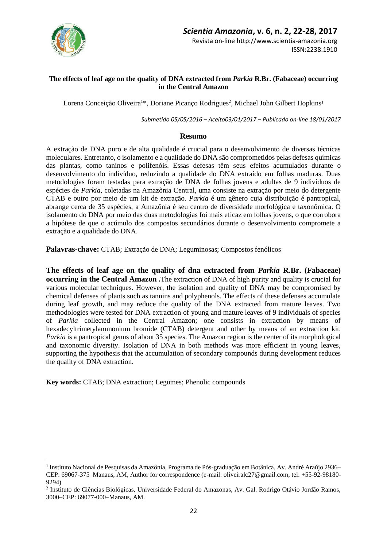

 $\overline{\phantom{a}}$ 

# **The effects of leaf age on the quality of DNA extracted from** *Parkia* **R.Br. (Fabaceae) occurring in the Central Amazon**

Lorena Conceição Oliveira<sup>1\*</sup>, Doriane Picanço Rodrigues<sup>2</sup>, Michael John Gilbert Hopkins<sup>1</sup>

*Submetido 05/05/2016 – Aceito03/01/2017 – Publicado on-line 18/01/2017*

#### **Resumo**

A extração de DNA puro e de alta qualidade é crucial para o desenvolvimento de diversas técnicas moleculares. Entretanto, o isolamento e a qualidade do DNA são comprometidos pelas defesas químicas das plantas, como taninos e polifenóis. Essas defesas têm seus efeitos acumulados durante o desenvolvimento do indivíduo, reduzindo a qualidade do DNA extraído em folhas maduras. Duas metodologias foram testadas para extração de DNA de folhas jovens e adultas de 9 indivíduos de espécies de *Parkia*, coletadas na Amazônia Central, uma consiste na extração por meio do detergente CTAB e outro por meio de um kit de extração. *Parkia* é um gênero cuja distribuição é pantropical, abrange cerca de 35 espécies, a Amazônia é seu centro de diversidade morfológica e taxonômica. O isolamento do DNA por meio das duas metodologias foi mais eficaz em folhas jovens, o que corrobora a hipótese de que o acúmulo dos compostos secundários durante o desenvolvimento compromete a extração e a qualidade do DNA.

**Palavras-chave:** CTAB; Extração de DNA; Leguminosas; Compostos fenólicos

**The effects of leaf age on the quality of dna extracted from** *Parkia* **R.Br. (Fabaceae) occurring in the Central Amazon .**The extraction of DNA of high purity and quality is crucial for various molecular techniques. However, the isolation and quality of DNA may be compromised by chemical defenses of plants such as tannins and polyphenols. The effects of these defenses accumulate during leaf growth, and may reduce the quality of the DNA extracted from mature leaves. Two methodologies were tested for DNA extraction of young and mature leaves of 9 individuals of species of *Parkia* collected in the Central Amazon; one consists in extraction by means of hexadecyltrimetylammonium bromide (CTAB) detergent and other by means of an extraction kit. *Parkia* is a pantropical genus of about 35 species. The Amazon region is the center of its morphological and taxonomic diversity. Isolation of DNA in both methods was more efficient in young leaves, supporting the hypothesis that the accumulation of secondary compounds during development reduces the quality of DNA extraction.

**Key words:** CTAB; DNA extraction; Legumes; Phenolic compounds

<sup>&</sup>lt;sup>1</sup> Instituto Nacional de Pesquisas da Amazônia, Programa de Pós-graduação em Botânica, Av. André Araújo 2936– CEP: 69067-375–Manaus, AM, Author for correspondence (e-mail: oliveiralc27@gmail.com; tel: +55-92-98180- 9294)

<sup>2</sup> Instituto de Ciências Biológicas, Universidade Federal do Amazonas, Av. Gal. Rodrigo Otávio Jordão Ramos, 3000–CEP: 69077-000–Manaus, AM.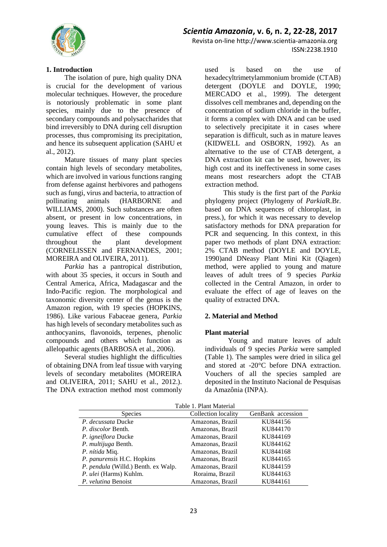

### **1. Introduction**

The isolation of pure, high quality DNA is crucial for the development of various molecular techniques. However, the procedure is notoriously problematic in some plant species, mainly due to the presence of secondary compounds and polysaccharides that bind irreversibly to DNA during cell disruption processes, thus compromising its precipitation, and hence its subsequent application (SAHU et al., 2012).

Mature tissues of many plant species contain high levels of secondary metabolites, which are involved in various functions ranging from defense against herbivores and pathogens such as fungi, virus and bacteria, to attraction of pollinating animals (HARBORNE and WILLIAMS, 2000). Such substances are often absent, or present in low concentrations, in young leaves. This is mainly due to the cumulative effect of these compounds throughout the plant development (CORNELISSEN and FERNANDES, 2001; MOREIRA and OLIVEIRA, 2011).

*Parkia* has a pantropical distribution, with about 35 species, it occurs in South and Central America, Africa, Madagascar and the Indo-Pacific region. The morphological and taxonomic diversity center of the genus is the Amazon region, with 19 species (HOPKINS, 1986). Like various Fabaceae genera, *Parkia*  has high levels of secondary metabolites such as anthocyanins, flavonoids, terpenes, phenolic compounds and others which function as allelopathic agents (BARBOSA et al., 2006).

Several studies highlight the difficulties of obtaining DNA from leaf tissue with varying levels of secondary metabolites (MOREIRA and OLIVEIRA, 2011; SAHU et al., 2012.). The DNA extraction method most commonly

used is based on the use of hexadecyltrimetylammonium bromide (CTAB) detergent (DOYLE and DOYLE, 1990; MERCADO et al., 1999). The detergent dissolves cell membranes and, depending on the concentration of sodium chloride in the buffer, it forms a complex with DNA and can be used to selectively precipitate it in cases where separation is difficult, such as in mature leaves (KIDWELL and OSBORN, 1992). As an alternative to the use of CTAB detergent, a DNA extraction kit can be used, however, its high cost and its ineffectiveness in some cases means most researchers adopt the CTAB extraction method.

This study is the first part of the *Parkia* phylogeny project (Phylogeny of *Parkia*R.Br. based on DNA sequences of chloroplast, in press.), for which it was necessary to develop satisfactory methods for DNA preparation for PCR and sequencing. In this context, in this paper two methods of plant DNA extraction: 2% CTAB method (DOYLE and DOYLE, 1990)and DNeasy Plant Mini Kit (Qiagen) method, were applied to young and mature leaves of adult trees of 9 species *Parkia* collected in the Central Amazon, in order to evaluate the effect of age of leaves on the quality of extracted DNA.

# **2. Material and Method**

# **Plant material**

Young and mature leaves of adult individuals of 9 species *Parkia* were sampled (Table 1). The samples were dried in silica gel and stored at -20°C before DNA extraction. Vouchers of all the species sampled are deposited in the Instituto Nacional de Pesquisas da Amazônia (INPA).

|                                     | Table T. Piant Material |                   |
|-------------------------------------|-------------------------|-------------------|
| <b>Species</b>                      | Collection locality     | GenBank accession |
| <i>P. decussata</i> Ducke           | Amazonas, Brazil        | KU844156          |
| <i>P. discolor Benth.</i>           | Amazonas, Brazil        | KU844170          |
| P. igneiflora Ducke                 | Amazonas, Brazil        | KU844169          |
| P. multijuga Benth.                 | Amazonas, Brazil        | KU844162          |
| P. nítida Miq.                      | Amazonas, Brazil        | KU844168          |
| P. panurensis H.C. Hopkins          | Amazonas, Brazil        | KU844165          |
| P. pendula (Willd.) Benth. ex Walp. | Amazonas, Brazil        | KU844159          |
| P. ulei (Harms) Kuhlm.              | Roraima, Brazil         | KU844163          |
| P. veluting Benoist                 | Amazonas, Brazil        | KU844161          |

Table 1. Plant Material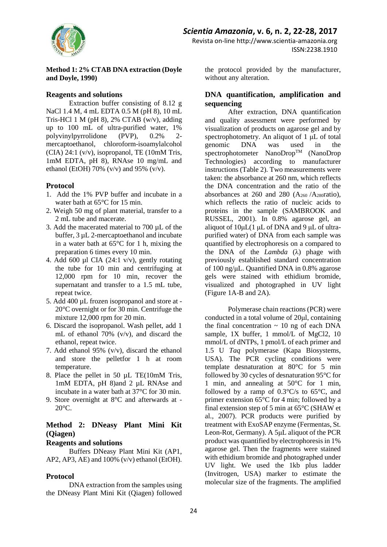

*Scientia Amazonia***, v. 6, n. 2, 22-28, 2017** Revista on-line http://www.scientia-amazonia.org ISSN:2238.1910

#### **Method 1: 2% CTAB DNA extraction (Doyle and Doyle, 1990)**

### **Reagents and solutions**

Extraction buffer consisting of 8.12 g NaCl 1.4 M, 4 mL EDTA 0.5 M (pH 8), 10 mL Tris-HCl 1 M (pH 8), 2% CTAB (w/v), adding up to 100 mL of ultra-purified water, 1% polyvinylpyrrolidone (PVP), 0.2% 2 mercaptoethanol, chloroform-isoamylalcohol (CIA) 24:1 (v/v), isopropanol, TE (10mM Tris, 1mM EDTA, pH 8), RNAse 10 mg/mL and ethanol (EtOH) 70% (v/v) and 95% (v/v).

# **Protocol**

- 1. Add the 1% PVP buffer and incubate in a water bath at 65°C for 15 min.
- 2. Weigh 50 mg of plant material, transfer to a 2 mL tube and macerate.
- 3. Add the macerated material to 700 µL of the buffer, 3 µL 2-mercaptoethanol and incubate in a water bath at 65°C for 1 h, mixing the preparation 6 times every 10 min.
- 4. Add 600 µl CIA (24:1 v/v), gently rotating the tube for 10 min and centrifuging at 12,000 rpm for 10 min, recover the supernatant and transfer to a 1.5 mL tube, repeat twice.
- 5. Add 400 µL frozen isopropanol and store at 20°C overnight or for 30 min. Centrifuge the mixture 12,000 rpm for 20 min.
- 6. Discard the isopropanol. Wash pellet, add 1 mL of ethanol 70% (v/v), and discard the ethanol, repeat twice.
- 7. Add ethanol 95% (v/v), discard the ethanol and store the pelletfor 1 h at room temperature.
- 8. Place the pellet in 50 µL TE(10mM Tris, 1mM EDTA, pH 8)and 2 µL RNAse and incubate in a water bath at 37°C for 30 min.
- 9. Store overnight at 8°C and afterwards at 20°C.

# **Method 2: DNeasy Plant Mini Kit (Qiagen)**

### **Reagents and solutions**

Buffers DNeasy Plant Mini Kit (AP1, AP2, AP3, AE) and 100% (v/v) ethanol (EtOH).

# **Protocol**

DNA extraction from the samples using the DNeasy Plant Mini Kit (Qiagen) followed the protocol provided by the manufacturer, without any alteration.

# **DNA quantification, amplification and sequencing**

After extraction, DNA quantification and quality assessment were performed by visualization of products on agarose gel and by spectrophotometry. An aliquot of 1 μL of total genomic DNA was used in the  $spectrophotometer$  NanoDrop<sup>TM</sup> (NanoDrop Technologies) according to manufacturer instructions (Table 2). Two measurements were taken: the absorbance at 260 nm, which reflects the DNA concentration and the ratio of the absorbances at 260 and 280  $(A<sub>260</sub>/A<sub>280</sub>ratio)$ , which reflects the ratio of nucleic acids to proteins in the sample (SAMBROOK and RUSSEL, 2001). In 0.8% agarose gel, an aliquot of 10μL(1 μL of DNA and 9 μL of ultrapurified water) of DNA from each sample was quantified by electrophoresis on a compared to the DNA of the *Lambda* (λ) phage with previously established standard concentration of 100 ng/μL. Quantified DNA in 0.8% agarose gels were stained with ethidium bromide, visualized and photographed in UV light (Figure 1A-B and 2A).

Polymerase chain reactions (PCR) were conducted in a total volume of 20μl, containing the final concentration  $\sim$  10 ng of each DNA sample, 1X buffer, 1 mmol/L of MgCl2, 10 mmol/L of dNTPs, 1 pmol/L of each primer and 1.5 U *Taq* polymerase (Kapa Biosystems, USA). The PCR cycling conditions were template desnaturation at 80°C for 5 min followed by 30 cycles of desnaturation 95°C for 1 min, and annealing at 50°C for 1 min, followed by a ramp of  $0.3^{\circ}$ C/s to 65 $^{\circ}$ C, and primer extension 65°C for 4 min; followed by a final extension step of 5 min at 65°C (SHAW et al*.*, 2007). PCR products were purified by treatment with ExoSAP enzyme (Fermentas, St. Leon-Rot, Germany). A 5μL aliquot of the PCR product was quantified by electrophoresis in 1% agarose gel. Then the fragments were stained with ethidium bromide and photographed under UV light. We used the 1kb plus ladder (Invitrogen, USA) marker to estimate the molecular size of the fragments. The amplified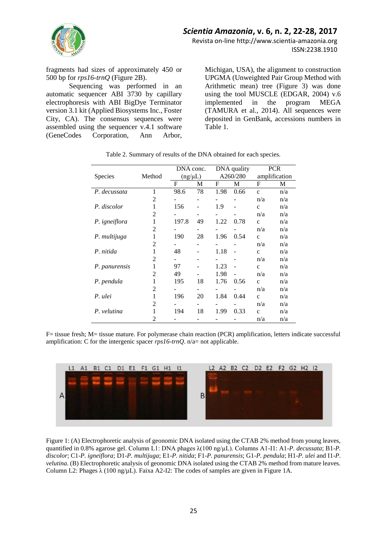

Revista on-line http://www.scientia-amazonia.org ISSN:2238.1910

fragments had sizes of approximately 450 or 500 bp for *rps16-trnQ* (Figure 2B).

Sequencing was performed in an automatic sequencer ABI 3730 by capillary electrophoresis with ABI BigDye Terminator version 3.1 kit (Applied Biosystems Inc., Foster City, CA). The consensus sequences were assembled using the sequencer v.4.1 software (GeneCodes Corporation, Ann Arbor, Michigan, USA), the alignment to construction UPGMA (Unweighted Pair Group Method with Arithmetic mean) tree (Figure 3) was done using the tool MUSCLE (EDGAR, 2004) v.6<br>implemented in the program MEGA implemented in the program MEGA (TAMURA et al*.*, 2014). All sequences were deposited in GenBank, accessions numbers in Table 1.

|                |              | DNA conc.<br>$(ng/\mu L)$ |    | DNA quality<br>A260/280 |      | <b>PCR</b>    |     |
|----------------|--------------|---------------------------|----|-------------------------|------|---------------|-----|
| <b>Species</b> | Method       |                           |    |                         |      | amplification |     |
|                |              | $\mathbf{F}$              | М  | $\mathbf F$             | М    | F             | М   |
| P. decussata   | 1            | 98.6                      | 78 | 1.98                    | 0.66 | $\mathbf{C}$  | n/a |
|                | 2            |                           |    |                         |      | n/a           | n/a |
| P. discolor    | 1            | 156                       |    | 1.9                     |      | $\mathbf{C}$  | n/a |
|                | 2            |                           |    |                         |      | n/a           | n/a |
| P. igneiflora  | $\mathbf{1}$ | 197.8                     | 49 | 1.22                    | 0.78 | $\mathbf{C}$  | n/a |
|                | 2            |                           |    |                         |      | n/a           | n/a |
| P. multijuga   | 1            | 190                       | 28 | 1.96                    | 0.54 | $\mathbf{C}$  | n/a |
|                | 2            |                           |    |                         |      | n/a           | n/a |
| P. nitida      | 1            | 48                        |    | 1.18                    |      | $\mathbf{c}$  | n/a |
|                | 2            |                           |    |                         |      | n/a           | n/a |
| P. panurensis  | 1            | 97                        |    | 1.23                    |      | $\mathbf{C}$  | n/a |
|                | 2            | 49                        |    | 1.98                    |      | n/a           | n/a |
| P. pendula     | 1            | 195                       | 18 | 1.76                    | 0.56 | $\mathbf{C}$  | n/a |
|                | 2            |                           |    |                         |      | n/a           | n/a |
| P. ulei        | 1            | 196                       | 20 | 1.84                    | 0.44 | $\mathbf{C}$  | n/a |
|                | 2            |                           |    |                         |      | n/a           | n/a |
| P. velutina    | 1            | 194                       | 18 | 1.99                    | 0.33 | $\mathbf{C}$  | n/a |
|                | 2            |                           |    |                         |      | n/a           | n/a |

| Table 2. Summary of results of the DNA obtained for each species. |  |  |  |
|-------------------------------------------------------------------|--|--|--|
|                                                                   |  |  |  |

F= tissue fresh; M= tissue mature. For polymerase chain reaction (PCR) amplification, letters indicate successful amplification: C for the intergenic spacer *rps16-trnQ*. n/a= not applicable.



Figure 1: (A) Electrophoretic analysis of geonomic DNA isolated using the CTAB 2% method from young leaves, quantified in 0.8% agarose gel. Column L1: DNA phages λ(100 ng/µL). Columns A1-I1: A1-*P. decussata*; B1-*P. discolor*; C1-*P. igneiflora*; D1-*P. multijuga*; E1-*P. nitida*; F1-*P. panurensis*; G1-*P. pendula*; H1-*P. ulei* and I1-*P. velutina.* (B) Electrophoretic analysis of geonomic DNA isolated using the CTAB 2% method from mature leaves. Column L2: Phages  $\lambda$  (100 ng/ $\mu$ L). Faixa A2-I2: The codes of samples are given in Figure 1A.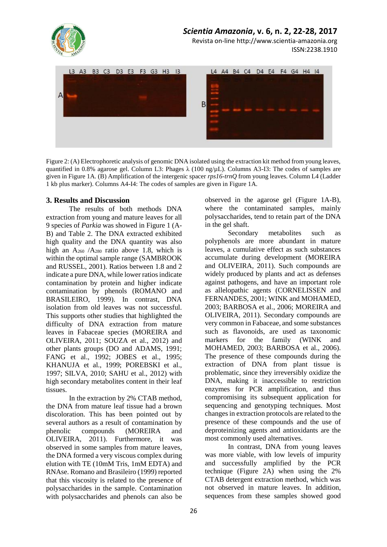

Revista on-line http://www.scientia-amazonia.org ISSN:2238.1910



Figure 2: (A) Electrophoretic analysis of genomic DNA isolated using the extraction kit method from young leaves, quantified in 0.8% agarose gel. Column L3: Phages  $\lambda$  (100 ng/ $\mu$ L). Columns A3-I3: The codes of samples are given in Figure 1A*.* (B) Amplification of the intergenic spacer *rps16-trnQ* from young leaves. Column L4 (Ladder 1 kb plus marker). Columns A4-I4: The codes of samples are given in Figure 1A.

#### **3. Results and Discussion**

The results of both methods DNA extraction from young and mature leaves for all 9 species of *Parkia* was showed in Figure 1 (A-B) and Table 2. The DNA extracted exhibited high quality and the DNA quantity was also high an  $A_{260}$  / $A_{280}$  ratio above 1.8, which is within the optimal sample range (SAMBROOK and RUSSEL, 2001). Ratios between 1.8 and 2 indicate a pure DNA, while lower ratios indicate contamination by protein and higher indicate contamination by phenols (ROMANO and BRASILEIRO, 1999). In contrast, DNA isolation from old leaves was not successful. This supports other studies that highlighted the difficulty of DNA extraction from mature leaves in Fabaceae species (MOREIRA and OLIVEIRA, 2011; SOUZA et al., 2012) and other plants groups (DO and ADAMS, 1991; FANG et al., 1992; JOBES et al., 1995; KHANUJA et al., 1999; POREBSKI et al., 1997; SILVA, 2010; SAHU et al., 2012) with high secondary metabolites content in their leaf tissues.

In the extraction by 2% CTAB method, the DNA from mature leaf tissue had a brown discoloration. This has been pointed out by several authors as a result of contamination by phenolic compounds (MOREIRA and OLIVEIRA, 2011). Furthermore, it was observed in some samples from mature leaves, the DNA formed a very viscous complex during elution with TE (10mM Tris, 1mM EDTA) and RNAse. Romano and Brasileiro (1999) reported that this viscosity is related to the presence of polysaccharides in the sample. Contamination with polysaccharides and phenols can also be observed in the agarose gel (Figure 1A-B), where the contaminated samples, mainly polysaccharides, tend to retain part of the DNA in the gel shaft.

Secondary metabolites such as polyphenols are more abundant in mature leaves, a cumulative effect as such substances accumulate during development (MOREIRA and OLIVEIRA, 2011). Such compounds are widely produced by plants and act as defenses against pathogens, and have an important role as allelopathic agents (CORNELISSEN and FERNANDES, 2001; WINK and MOHAMED, 2003; BARBOSA et al., 2006; MOREIRA and OLIVEIRA, 2011). Secondary compounds are very common in Fabaceae, and some substances such as flavonoids, are used as taxonomic markers for the family (WINK and MOHAMED, 2003; BARBOSA et al., 2006). The presence of these compounds during the extraction of DNA from plant tissue is problematic, since they irreversibly oxidize the DNA, making it inaccessible to restriction enzymes for PCR amplification, and thus compromising its subsequent application for sequencing and genotyping techniques. Most changes in extraction protocols are related to the presence of these compounds and the use of deproteinizing agents and antioxidants are the most commonly used alternatives.

In contrast, DNA from young leaves was more viable, with low levels of impurity and successfully amplified by the PCR technique (Figure 2A) when using the 2% CTAB detergent extraction method, which was not observed in mature leaves. In addition, sequences from these samples showed good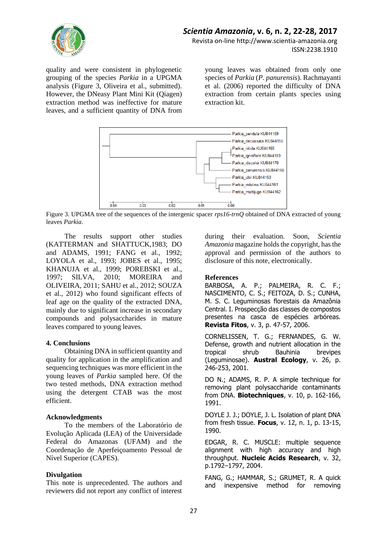

quality and were consistent in phylogenetic grouping of the species *Parkia* in a UPGMA analysis (Figure 3, Oliveira et al., submitted). However, the DNeasy Plant Mini Kit (Qiagen) extraction method was ineffective for mature leaves, and a sufficient quantity of DNA from young leaves was obtained from only one species of *Parkia* (*P. panurensis*). Rachmayanti et al. (2006) reported the difficulty of DNA extraction from certain plants species using extraction kit.



Figure 3. UPGMA tree of the sequences of the intergenic spacer *rps16-trnQ* obtained of DNA extracted of young leaves *Parkia*.

The results support other studies (KATTERMAN and SHATTUCK,1983; DO and ADAMS, 1991; FANG et al., 1992; LOYOLA et al., 1993; JOBES et al., 1995; KHANUJA et al., 1999; POREBSKI et al., 1997; SILVA, 2010; MOREIRA and OLIVEIRA, 2011; SAHU et al., 2012; SOUZA et al., 2012) who found significant effects of leaf age on the quality of the extracted DNA, mainly due to significant increase in secondary compounds and polysaccharides in mature leaves compared to young leaves.

#### **4. Conclusions**

Obtaining DNA in sufficient quantity and quality for application in the amplification and sequencing techniques was more efficient in the young leaves of *Parkia* sampled here. Of the two tested methods, DNA extraction method using the detergent CTAB was the most efficient.

#### **Acknowledgments**

To the members of the Laboratório de Evolução Aplicada (LEA) of the Universidade Federal do Amazonas (UFAM) and the Coordenação de Aperfeiçoamento Pessoal de Nível Superior (CAPES).

#### **Divulgation**

This note is unprecedented. The authors and reviewers did not report any conflict of interest during their evaluation. Soon, *Scientia Amazonia* magazine holds the copyright, has the approval and permission of the authors to disclosure of this note, electronically.

#### **References**

BARBOSA, A. P.; PALMEIRA, R. C. F.; NASCIMENTO, C. S.; FEITOZA, D. S.; CUNHA, M. S. C. Leguminosas florestais da Amazônia Central. I. Prospecção das classes de compostos presentes na casca de espécies arbóreas. **Revista Fitos**, v. 3, p. 47-57, 2006.

CORNELISSEN, T. G.; FERNANDES, G. W. Defense, growth and nutrient allocation in the tropical shrub Bauhinia brevipes (Leguminosae). **Austral Ecology**, v. 26, p. 246-253, 2001.

DO N.; ADAMS, R. P. A simple technique for removing plant polysaccharide contaminants from DNA. **Biotechniques**, v. 10, p. 162-166, 1991.

DOYLE J. J.; DOYLE, J. L. Isolation of plant DNA from fresh tissue. **Focus**, v. 12, n. 1, p. 13-15, 1990.

EDGAR, R. C. MUSCLE: multiple sequence alignment with high accuracy and high throughput. **Nucleic Acids Research**, v. 32, p.1792–1797, 2004.

FANG, G.; HAMMAR, S.; GRUMET, R. A quick and inexpensive method for removing